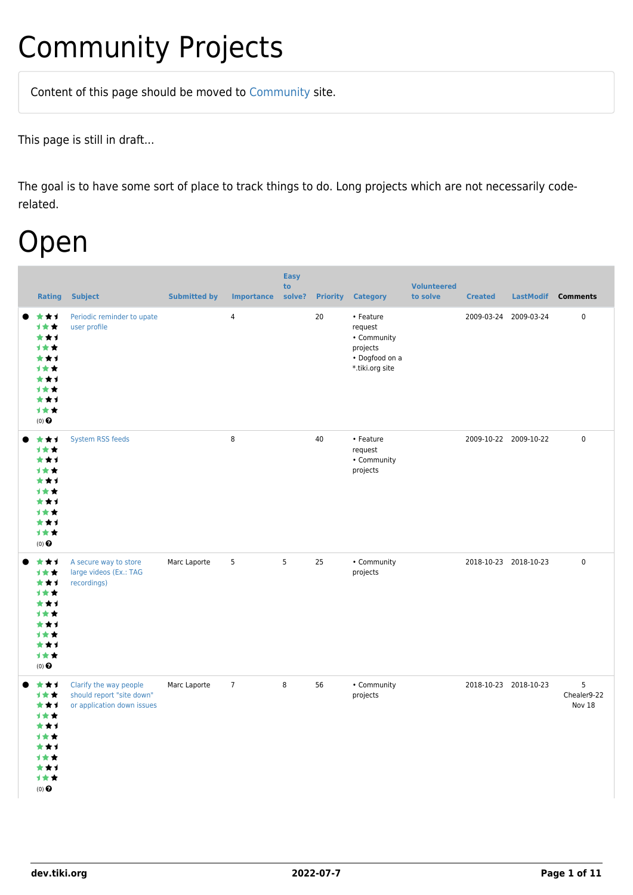## Community Projects

Content of this page should be [moved](https://dev.tiki.org/tiki-editpage.php?page=moved) to [Community](http://tiki.org/Community) site.

This page is still in draft...

The goal is to have some sort of place to track things to do. Long projects which are not necessarily coderelated.

### Open

|                                                                                                                  | <b>Rating Subject</b>                                                             | <b>Submitted by</b> | <b>Importance solve?</b> | <b>Easy</b><br>to |    | <b>Priority Category</b>                                                             | <b>Volunteered</b><br>to solve | <b>Created</b>        | LastModif Comments |                            |
|------------------------------------------------------------------------------------------------------------------|-----------------------------------------------------------------------------------|---------------------|--------------------------|-------------------|----|--------------------------------------------------------------------------------------|--------------------------------|-----------------------|--------------------|----------------------------|
| ***<br>计女女<br>***<br>1★★<br>***<br>计女女<br>***<br>1★★<br>***<br>计女女<br>$(0)$ $\odot$                              | Periodic reminder to upate<br>user profile                                        |                     | $\overline{4}$           |                   | 20 | • Feature<br>request<br>• Community<br>projects<br>• Dogfood on a<br>*.tiki.org site |                                | 2009-03-24 2009-03-24 |                    | $\mathsf{O}\xspace$        |
| ***<br>1★★<br>***<br>1★★<br>***<br>计女女<br>***<br>计女女<br>***<br>计女女<br>$(0)$<br>$\pmb{\Theta}$                    | <b>System RSS feeds</b>                                                           |                     | 8                        |                   | 40 | • Feature<br>request<br>• Community<br>projects                                      |                                | 2009-10-22 2009-10-22 |                    | $\mathbf 0$                |
| ***<br>计女女<br>***<br>1★★<br>***<br>计女女<br>***<br>1★★<br>***<br>1★★<br>$(0)$ $\pmb{\Theta}$                       | A secure way to store<br>large videos (Ex.: TAG<br>recordings)                    | Marc Laporte        | $\overline{5}$           | 5                 | 25 | • Community<br>projects                                                              |                                | 2018-10-23 2018-10-23 |                    | $\pmb{0}$                  |
| ***<br>1★★<br>***<br>计女女<br>***<br><b>1**</b><br>***<br>计女女<br>***<br>计女女<br>$(0)$ <sup><math>\odot</math></sup> | Clarify the way people<br>should report "site down"<br>or application down issues | Marc Laporte        | $\overline{7}$           | 8                 | 56 | • Community<br>projects                                                              |                                | 2018-10-23 2018-10-23 |                    | 5<br>Chealer9-22<br>Nov 18 |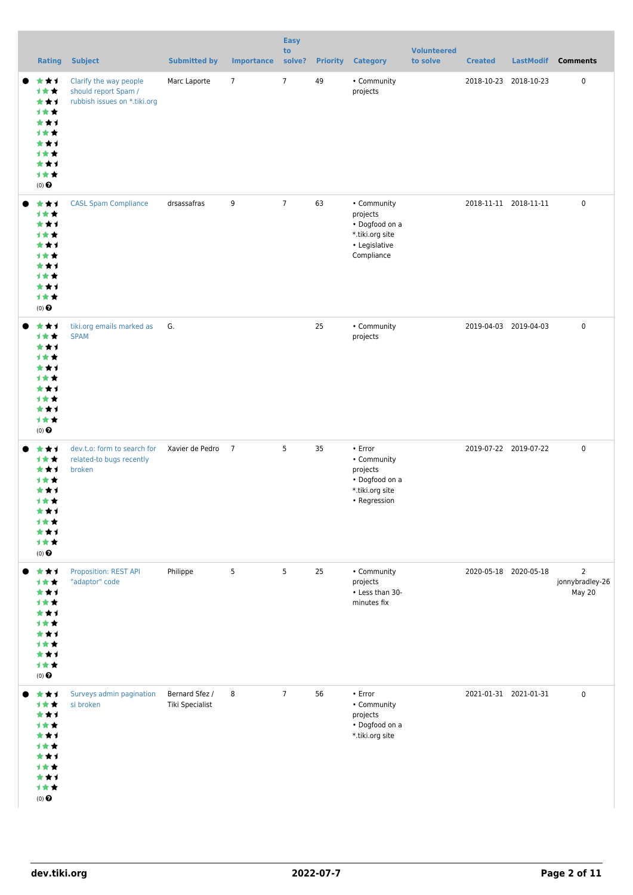| <b>Rating</b>                                                                                 | <b>Subject</b>                                                                 | <b>Submitted by</b>               | <b>Importance</b> | <b>Easy</b><br>to<br>solve? |    | <b>Priority Category</b>                                                                    | <b>Volunteered</b><br>to solve | <b>Created</b>        | <b>LastModif</b>      | <b>Comments</b>                             |
|-----------------------------------------------------------------------------------------------|--------------------------------------------------------------------------------|-----------------------------------|-------------------|-----------------------------|----|---------------------------------------------------------------------------------------------|--------------------------------|-----------------------|-----------------------|---------------------------------------------|
| ***<br>计女女<br>***<br>计女女<br>***<br>计女女<br>***<br>计女女<br>***<br>计女女<br>$(0)$ $\Theta$          | Clarify the way people<br>should report Spam /<br>rubbish issues on *.tiki.org | Marc Laporte                      | $7\overline{ }$   | $\overline{7}$              | 49 | • Community<br>projects                                                                     |                                | 2018-10-23 2018-10-23 |                       | $\pmb{0}$                                   |
| ***<br>计女女<br>***<br>计女女<br>***<br>计女女<br>***<br>计女女<br>***<br>计女女<br>$(0)$ $\Theta$          | <b>CASL Spam Compliance</b>                                                    | drsassafras                       | 9                 | $\overline{7}$              | 63 | • Community<br>projects<br>• Dogfood on a<br>*.tiki.org site<br>• Legislative<br>Compliance |                                |                       | 2018-11-11 2018-11-11 | $\mathsf 0$                                 |
| ***<br>计女女<br>***<br>计女女<br>***<br>计女女<br>***<br>计女女<br>***<br>计女女<br>$(0)$ $\pmb{\Theta}$    | tiki.org emails marked as<br><b>SPAM</b>                                       | G.                                |                   |                             | 25 | • Community<br>projects                                                                     |                                | 2019-04-03 2019-04-03 |                       | $\pmb{0}$                                   |
| ***<br>计女女<br>***<br>计女女<br>***<br>计女女<br>***<br>计女女<br>***<br>计女女<br>$(0)$ $\Theta$          | dev.t.o: form to search for<br>related-to bugs recently<br>broken              | Xavier de Pedro                   | $\overline{7}$    | 5                           | 35 | • Error<br>• Community<br>projects<br>• Dogfood on a<br>*.tiki.org site<br>• Regression     |                                |                       | 2019-07-22 2019-07-22 | $\mathsf 0$                                 |
| ***<br>计女女<br>***<br>计女女<br>***<br>计女女<br>***<br>计女女<br>***<br>计女女<br>$(0)$ $\Theta$          | Proposition: REST API<br>"adaptor" code                                        | Philippe                          | 5                 | 5                           | 25 | • Community<br>projects<br>• Less than 30-<br>minutes fix                                   |                                | 2020-05-18 2020-05-18 |                       | $\overline{2}$<br>jonnybradley-26<br>May 20 |
| ***<br>计女女<br>***<br>计女女<br>***<br>计女女<br>***<br>计女女<br>***<br>计女女<br>$(0)$<br>$\pmb{\Theta}$ | Surveys admin pagination<br>si broken                                          | Bernard Sfez /<br>Tiki Specialist | 8                 | $\overline{7}$              | 56 | • Error<br>• Community<br>projects<br>• Dogfood on a<br>*.tiki.org site                     |                                |                       | 2021-01-31 2021-01-31 | $\mathsf 0$                                 |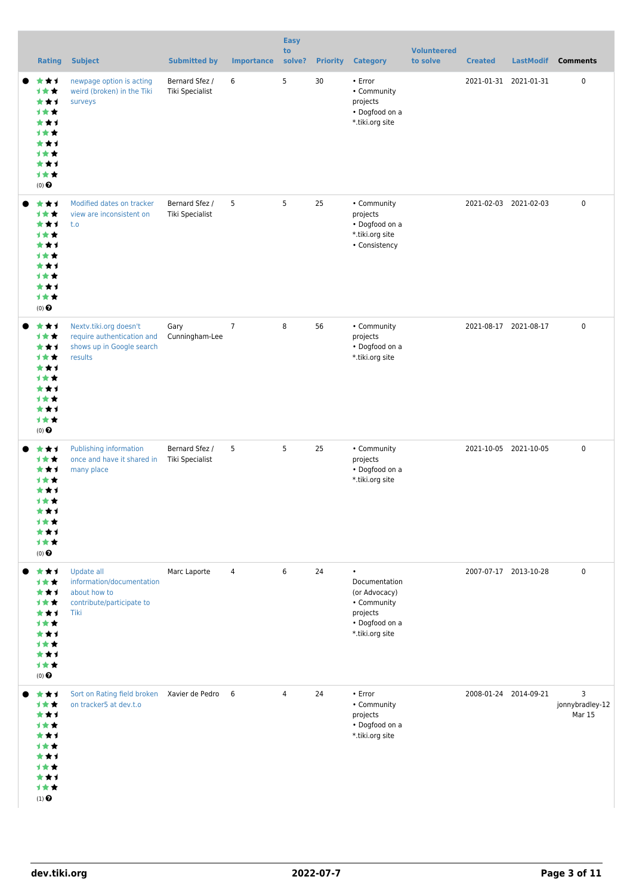| <b>Rating</b>                                                                                                    | <b>Subject</b>                                                                               | <b>Submitted by</b>                      | <b>Importance</b> | <b>Easy</b><br>to<br>solve? | <b>Priority</b> | <b>Category</b>                                                                                             | <b>Volunteered</b><br>to solve | <b>Created</b>        | <b>LastModif</b> | <b>Comments</b>                       |
|------------------------------------------------------------------------------------------------------------------|----------------------------------------------------------------------------------------------|------------------------------------------|-------------------|-----------------------------|-----------------|-------------------------------------------------------------------------------------------------------------|--------------------------------|-----------------------|------------------|---------------------------------------|
| ***<br>计女女<br>***<br>计女女<br>***<br>计女女<br>★★1<br><b>1**</b><br>***<br>计女女<br>$(0)$ $\Theta$                      | newpage option is acting<br>weird (broken) in the Tiki<br>surveys                            | Bernard Sfez /<br>Tiki Specialist        | 6                 | 5                           | 30              | • Error<br>• Community<br>projects<br>• Dogfood on a<br>*.tiki.org site                                     |                                | 2021-01-31 2021-01-31 |                  | $\pmb{0}$                             |
| ***<br>计女女<br>***<br>计女女<br>***<br><b>1**</b><br>***<br>计女女<br>***<br>计女女<br>$(0)$ <sup><math>\odot</math></sup> | Modified dates on tracker<br>view are inconsistent on<br>t.o                                 | Bernard Sfez /<br>Tiki Specialist        | 5                 | 5                           | 25              | • Community<br>projects<br>• Dogfood on a<br>*.tiki.org site<br>• Consistency                               |                                | 2021-02-03 2021-02-03 |                  | $\pmb{0}$                             |
| ***<br>***<br>***<br>计女女<br>***<br>计女女<br>***<br>计女女<br>***<br>计女女<br>$(0)$ $\Theta$                             | Nextv.tiki.org doesn't<br>require authentication and<br>shows up in Google search<br>results | Gary<br>Cunningham-Lee                   | $\overline{7}$    | 8                           | 56              | • Community<br>projects<br>• Dogfood on a<br>*.tiki.org site                                                |                                | 2021-08-17 2021-08-17 |                  | $\pmb{0}$                             |
| ***<br>计女女<br>***<br>1**<br>┢╈┪<br>计女女<br>***<br>计女女<br>★★1<br>计女女<br>$(0)$ $\Theta$                             | Publishing information<br>once and have it shared in<br>many place                           | Bernard Sfez /<br><b>Tiki Specialist</b> | 5                 | 5                           | 25              | • Community<br>projects<br>• Dogfood on a<br>*.tiki.org site                                                |                                | 2021-10-05 2021-10-05 |                  | $\mathsf 0$                           |
| ***<br>计女女<br>***<br>计女女<br>***<br>计女女<br>***<br>计女女<br>***<br>计女女<br>$(0)$ <sup><math>\odot</math></sup>        | Update all<br>information/documentation<br>about how to<br>contribute/participate to<br>Tiki | Marc Laporte                             | $\overline{4}$    | 6                           | 24              | $\bullet$<br>Documentation<br>(or Advocacy)<br>• Community<br>projects<br>• Dogfood on a<br>*.tiki.org site |                                | 2007-07-17 2013-10-28 |                  | $\pmb{0}$                             |
| ***<br>计女女<br>***<br>计女女<br>***<br><b>1**</b><br>***<br>计女女<br>★★1<br>计女女<br>$(1)$<br>$\pmb{\Theta}$             | Sort on Rating field broken<br>on tracker5 at dev.t.o                                        | Xavier de Pedro 6                        |                   | $\overline{4}$              | 24              | • Error<br>• Community<br>projects<br>• Dogfood on a<br>*.tiki.org site                                     |                                | 2008-01-24 2014-09-21 |                  | 3<br>jonnybradley-12<br><b>Mar 15</b> |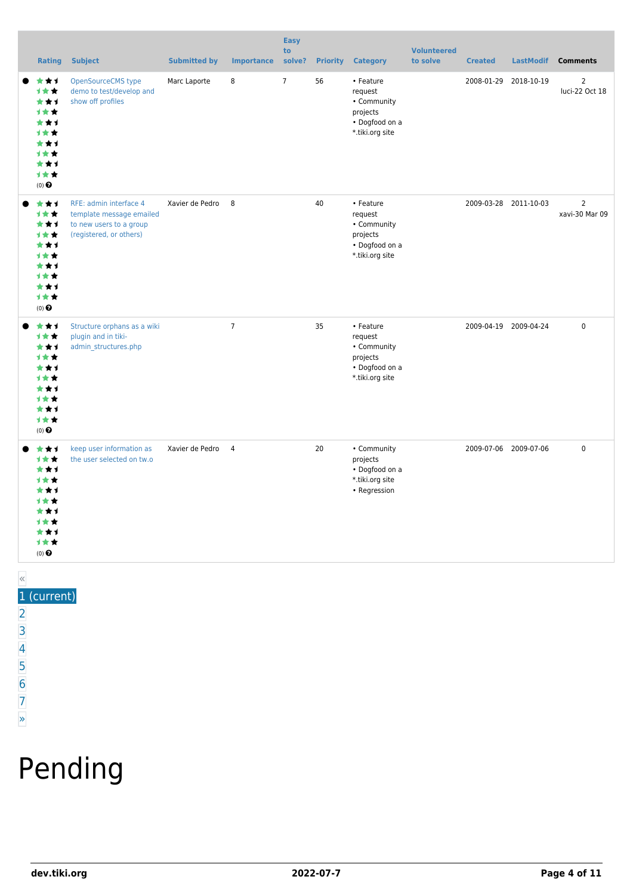| <b>Rating</b>                                                                                                           | <b>Subject</b>                                                                                           | <b>Submitted by</b> | <b>Importance</b> | <b>Easy</b><br>to<br>solve? | <b>Priority</b> | <b>Category</b>                                                                      | <b>Volunteered</b><br>to solve | <b>Created</b> | <b>LastModif</b>      | <b>Comments</b>                  |
|-------------------------------------------------------------------------------------------------------------------------|----------------------------------------------------------------------------------------------------------|---------------------|-------------------|-----------------------------|-----------------|--------------------------------------------------------------------------------------|--------------------------------|----------------|-----------------------|----------------------------------|
| ***<br>计女女<br>***<br><b>1**</b><br>***<br><b>1**</b><br>***<br>1★★<br>***<br>计女女<br>$(0)$ $\odot$                       | <b>OpenSourceCMS type</b><br>demo to test/develop and<br>show off profiles                               | Marc Laporte        | 8                 | $\overline{7}$              | 56              | • Feature<br>request<br>• Community<br>projects<br>• Dogfood on a<br>*.tiki.org site |                                |                | 2008-01-29 2018-10-19 | $\overline{2}$<br>luci-22 Oct 18 |
| ***<br>计女女<br>***<br>计女女<br>***<br>1★★<br>***<br><b>1**</b><br>***<br>1★★<br>$(0)$ $\odot$                              | RFE: admin interface 4<br>template message emailed<br>to new users to a group<br>(registered, or others) | Xavier de Pedro     | 8                 |                             | 40              | • Feature<br>request<br>• Community<br>projects<br>• Dogfood on a<br>*.tiki.org site |                                |                | 2009-03-28 2011-10-03 | $\overline{2}$<br>xavi-30 Mar 09 |
| ***<br>1★★<br>***<br>计女女<br>***<br><b>1**</b><br>***<br>计女女<br>***<br>1★★<br>$(0)$ $\odot$                              | Structure orphans as a wiki<br>plugin and in tiki-<br>admin structures.php                               |                     | $\overline{7}$    |                             | 35              | • Feature<br>request<br>• Community<br>projects<br>• Dogfood on a<br>*.tiki.org site |                                |                | 2009-04-19 2009-04-24 | $\mathbf 0$                      |
| ***<br><b>1**</b><br>★★1<br>1★★<br>***<br><b>1**</b><br>***<br>计女女<br>***<br>计女女<br>$(0)$ <sup><math>\odot</math></sup> | keep user information as<br>the user selected on tw.o                                                    | Xavier de Pedro     | $\overline{4}$    |                             | 20              | • Community<br>projects<br>• Dogfood on a<br>*.tiki.org site<br>• Regression         |                                |                | 2009-07-06 2009-07-06 | $\mathbf 0$                      |

### «

### 1 (current)

- [2](https://dev.tiki.org/tiki-print.php?tr_sort_mode1=f_48_asc&page=Community+Projects&tr_offset1=20)
- [3](https://dev.tiki.org/tiki-print.php?tr_sort_mode1=f_48_asc&page=Community+Projects&tr_offset1=40)
- [4](https://dev.tiki.org/tiki-print.php?tr_sort_mode1=f_48_asc&page=Community+Projects&tr_offset1=60)
- [5](https://dev.tiki.org/tiki-print.php?tr_sort_mode1=f_48_asc&page=Community+Projects&tr_offset1=80)
- [6](https://dev.tiki.org/tiki-print.php?tr_sort_mode1=f_48_asc&page=Community+Projects&tr_offset1=100)
- [7](https://dev.tiki.org/tiki-print.php?tr_sort_mode1=f_48_asc&page=Community+Projects&tr_offset1=120)
- [»](https://dev.tiki.org/tiki-print.php?tr_sort_mode1=f_48_asc&page=Community+Projects&tr_offset1=20)

# Pending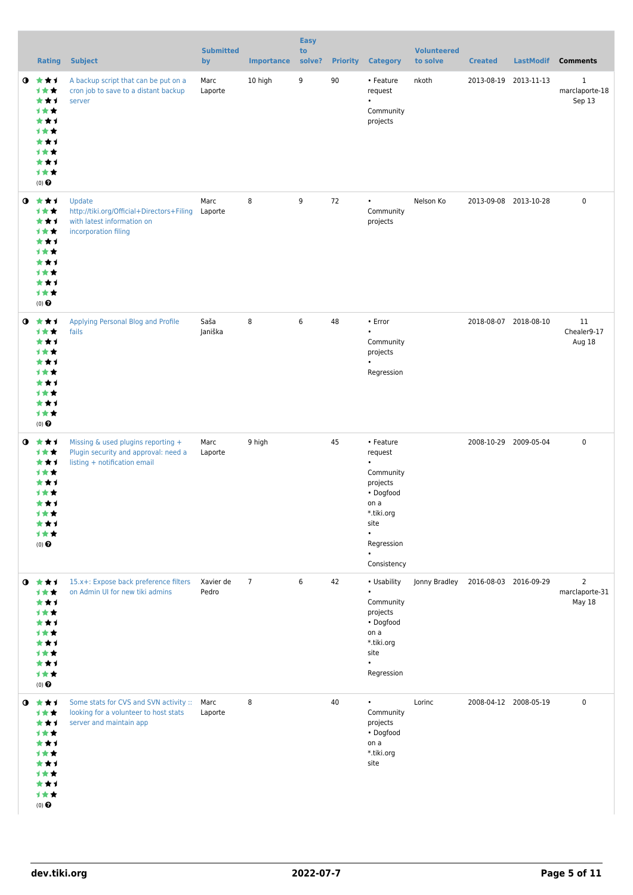|           | <b>Rating</b>                                                                                                                 | <b>Subject</b>                                                                                                  | <b>Submitted</b><br>by | <b>Importance</b> | <b>Easy</b><br>to<br>solve? | <b>Priority</b> | <b>Category</b>                                                                                                                                              | <b>Volunteered</b><br>to solve | <b>Created</b> | <b>LastModif</b>      | <b>Comments</b>                            |
|-----------|-------------------------------------------------------------------------------------------------------------------------------|-----------------------------------------------------------------------------------------------------------------|------------------------|-------------------|-----------------------------|-----------------|--------------------------------------------------------------------------------------------------------------------------------------------------------------|--------------------------------|----------------|-----------------------|--------------------------------------------|
| $\bullet$ | ***<br>计女女<br>***<br>计女女<br>***<br>计女女<br>***<br>计女女<br>***<br>1★★<br>$(0)$ <sup><math>\odot</math></sup>                     | A backup script that can be put on a<br>cron job to save to a distant backup<br>server                          | Marc<br>Laporte        | 10 high           | 9                           | 90              | • Feature<br>request<br>$\bullet$<br>Community<br>projects                                                                                                   | nkoth                          |                | 2013-08-19 2013-11-13 | $\mathbf{1}$<br>marclaporte-18<br>Sep 13   |
|           | $0 \star \star \star$<br>计女女<br>***<br>1★★<br>***<br>计女女<br>***<br>计女女<br>***<br>计女女<br>(0)                                   | Update<br>http://tiki.org/Official+Directors+Filing<br>with latest information on<br>incorporation filing       | Marc<br>Laporte        | 8                 | 9                           | 72              | $\bullet$<br>Community<br>projects                                                                                                                           | Nelson Ko                      |                | 2013-09-08 2013-10-28 | 0                                          |
|           | $0 \star \star \star$<br>计女女<br>***<br>计女女<br>***<br>计女女<br>***<br>计女女<br>***<br>计女女<br>$(0)$ $\Theta$                        | Applying Personal Blog and Profile<br>fails                                                                     | Saša<br>Janiška        | 8                 | 6                           | 48              | • Error<br>$\bullet$<br>Community<br>projects<br>Regression                                                                                                  |                                |                | 2018-08-07 2018-08-10 | 11<br>Chealer9-17<br>Aug 18                |
|           | $0 \star \star \star$<br>计女女<br>***<br>计女女<br>★★1<br>1 <del>*</del> *<br>***<br>计女女<br>***<br><b>1 ★ ★</b><br>$(0)$ $\odot$   | Missing & used plugins reporting +<br>Plugin security and approval: need a<br>listing + notification email      | Marc<br>Laporte        | 9 high            |                             | 45              | • Feature<br>request<br>$\bullet$<br>Community<br>projects<br>• Dogfood<br>on a<br>*.tiki.org<br>site<br>$\bullet$<br>Regression<br>$\bullet$<br>Consistency |                                |                | 2008-10-29 2009-05-04 | $\pmb{0}$                                  |
|           | $0 \star \star \star$<br>计女女<br>***<br><b>1**</b><br>***<br><b>1**</b><br>***<br>计女女<br>***<br>计女女<br>$(0)$<br>$\pmb{\Theta}$ | 15.x+: Expose back preference filters<br>on Admin UI for new tiki admins                                        | Xavier de<br>Pedro     | $\overline{7}$    | 6                           | 42              | • Usability<br>$\bullet$<br>Community<br>projects<br>• Dogfood<br>on a<br>*.tiki.org<br>site<br>$\bullet$<br>Regression                                      | Jonny Bradley                  |                | 2016-08-03 2016-09-29 | $\overline{2}$<br>marclaporte-31<br>May 18 |
|           | $0$ $*$ $*$ $*$<br>计女女<br>***<br>***<br>***<br>计女女<br>***<br>1★★<br>***<br>计女女<br>$(0)$ $\odot$                               | Some stats for CVS and SVN activity :: Marc<br>looking for a volunteer to host stats<br>server and maintain app | Laporte                | 8                 |                             | 40              | $\bullet$<br>Community<br>projects<br>• Dogfood<br>on a<br>*.tiki.org<br>site                                                                                | Lorinc                         |                | 2008-04-12 2008-05-19 | 0                                          |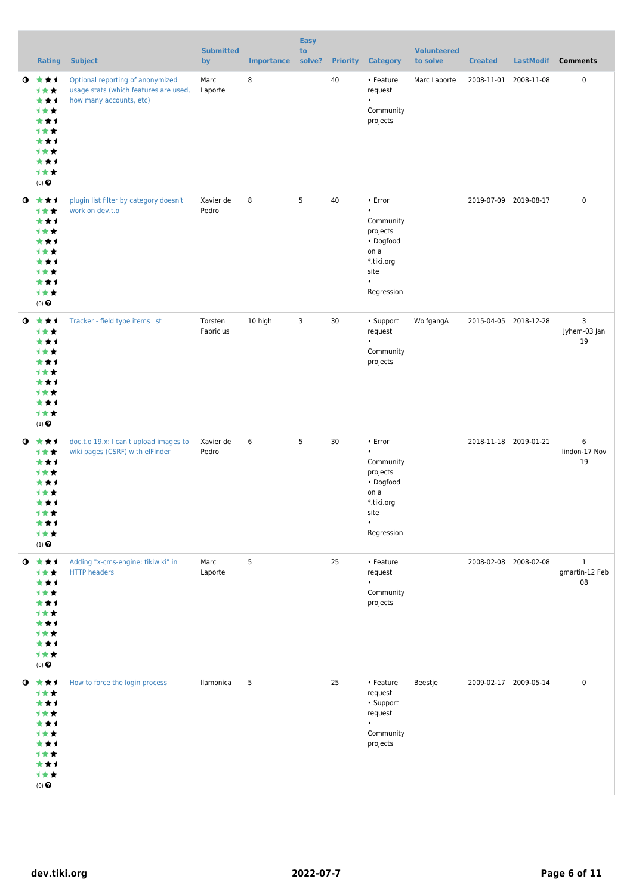|           | <b>Rating</b>                                                                                                            | <b>Subject</b>                                                                                       | <b>Submitted</b><br>by | <b>Importance</b> | <b>Easy</b><br>to<br>solve? |    | <b>Priority Category</b>                                                                                            | <b>Volunteered</b><br>to solve | <b>Created</b>        | <b>LastModif</b> | <b>Comments</b>                      |
|-----------|--------------------------------------------------------------------------------------------------------------------------|------------------------------------------------------------------------------------------------------|------------------------|-------------------|-----------------------------|----|---------------------------------------------------------------------------------------------------------------------|--------------------------------|-----------------------|------------------|--------------------------------------|
|           | $0 \star \star \star$<br>计女女<br>***<br>1★★<br>***<br>计女女<br>***<br>计女女<br>***<br>1★★<br>$(0)$ $\Theta$                   | Optional reporting of anonymized<br>usage stats (which features are used,<br>how many accounts, etc) | Marc<br>Laporte        | 8                 |                             | 40 | • Feature<br>request<br>$\bullet$<br>Community<br>projects                                                          | Marc Laporte                   | 2008-11-01 2008-11-08 |                  | 0                                    |
|           | $0 \star \star \star$<br>1★★<br>***<br>计女女<br>***<br><b>1**</b><br>***<br>计女女<br>***<br>计女女<br>$(0)$ $\odot$             | plugin list filter by category doesn't<br>work on dev.t.o                                            | Xavier de<br>Pedro     | 8                 | 5                           | 40 | • Error<br>$\bullet$<br>Community<br>projects<br>• Dogfood<br>on a<br>*.tiki.org<br>site<br>$\bullet$<br>Regression |                                | 2019-07-09 2019-08-17 |                  | 0                                    |
| $\bullet$ | ***<br>1★★<br>***<br>计女女<br>***<br>计女女<br>***<br>计女女<br>***<br>计女女<br>$(1)$ $\odot$                                      | Tracker - field type items list                                                                      | Torsten<br>Fabricius   | 10 high           | 3                           | 30 | • Support<br>request<br>$\bullet$<br>Community<br>projects                                                          | WolfgangA                      | 2015-04-05 2018-12-28 |                  | 3<br>Jyhem-03 Jan<br>19              |
|           | $0 \star \star \star$<br>计女女<br>***<br>计女女<br>***<br><b>1 ★ ★</b><br>***<br>才女女<br>***<br>计女女<br>$(1)$<br>$\pmb{\Theta}$ | doc.t.o 19.x: I can't upload images to<br>wiki pages (CSRF) with elFinder                            | Xavier de<br>Pedro     | 6                 | 5                           | 30 | • Error<br>$\bullet$<br>Community<br>projects<br>• Dogfood<br>on a<br>*.tiki.org<br>site<br>$\bullet$<br>Regression |                                | 2018-11-18 2019-01-21 |                  | 6<br>lindon-17 Nov<br>19             |
|           | $0 \star \star \star$<br>计女女<br>***<br>1★★<br>***<br>计女女<br>***<br>1★★<br>***<br>计女女<br>$(0)$ $\odot$                    | Adding "x-cms-engine: tikiwiki" in<br><b>HTTP headers</b>                                            | Marc<br>Laporte        | 5                 |                             | 25 | • Feature<br>request<br>$\bullet$<br>Community<br>projects                                                          |                                | 2008-02-08 2008-02-08 |                  | $\mathbf{1}$<br>gmartin-12 Feb<br>08 |
|           | $0 \star \star \star$<br>计女女<br>***<br>计女女<br>***<br>计女女<br>***<br><b>1**</b><br>***<br>计女女<br>$(0)$ $\Theta$            | How to force the login process                                                                       | llamonica              | 5                 |                             | 25 | • Feature<br>request<br>• Support<br>request<br>Community<br>projects                                               | Beestje                        | 2009-02-17 2009-05-14 |                  | 0                                    |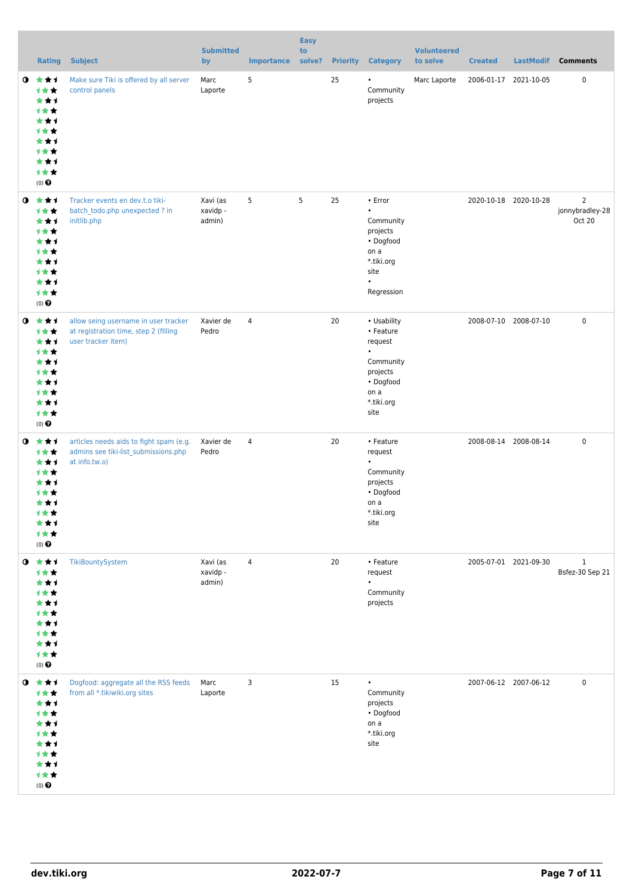|           | <b>Rating</b>                                                                                             | <b>Subject</b>                                                                                      | <b>Submitted</b><br>by         | <b>Importance</b> | <b>Easy</b><br>to<br>solve? |    | <b>Priority Category</b>                                                                                             | <b>Volunteered</b><br>to solve | <b>Created</b>        | <b>LastModif</b>      | <b>Comments</b>                             |
|-----------|-----------------------------------------------------------------------------------------------------------|-----------------------------------------------------------------------------------------------------|--------------------------------|-------------------|-----------------------------|----|----------------------------------------------------------------------------------------------------------------------|--------------------------------|-----------------------|-----------------------|---------------------------------------------|
| $\bullet$ | 大大才<br>计女女<br>***<br>计女女<br>***<br><b>1**</b><br>***<br>计女女<br>***<br>计女女<br>$(0)$ $\odot$                | Make sure Tiki is offered by all server<br>control panels                                           | Marc<br>Laporte                | 5                 |                             | 25 | $\bullet$<br>Community<br>projects                                                                                   | Marc Laporte                   | 2006-01-17 2021-10-05 |                       | 0                                           |
| $\bullet$ | 大大才<br>计女女<br>***<br>1★★<br>***<br><b>1**</b><br>***<br>计女女<br>***<br>计女女<br>$(0)$ $\odot$                | Tracker events en dev.t.o tiki-<br>batch_todo.php unexpected ? in<br>initlib.php                    | Xavi (as<br>xavidp -<br>admin) | 5                 | 5                           | 25 | • Error<br>$\bullet$<br>Community<br>projects<br>• Dogfood<br>on a<br>*.tiki.org<br>site<br>$\bullet$<br>Regression  |                                |                       | 2020-10-18 2020-10-28 | $\overline{2}$<br>jonnybradley-28<br>Oct 20 |
| $\bullet$ | ***<br>计女女<br>***<br>计女女<br>***<br>计女女<br>***<br>计女女<br>***<br>计女女<br>$(0)$ $\odot$                       | allow seing username in user tracker<br>at registration time, step 2 (filling<br>user tracker item) | Xavier de<br>Pedro             | 4                 |                             | 20 | • Usability<br>• Feature<br>request<br>$\bullet$<br>Community<br>projects<br>• Dogfood<br>on a<br>*.tiki.org<br>site |                                | 2008-07-10 2008-07-10 |                       | 0                                           |
| $\bullet$ | ***<br>计女女<br>***<br>计女女<br>***<br>1 <del>*</del> *<br>***<br>计女女<br>***<br>计女女<br>$(0)$ $\Theta$         | articles needs aids to fight spam (e.g.<br>admins see tiki-list_submissions.php<br>at info.tw.o)    | Xavier de<br>Pedro             | 4                 |                             | 20 | • Feature<br>request<br>Community<br>projects<br>• Dogfood<br>on a<br>*.tiki.org<br>site                             |                                | 2008-08-14 2008-08-14 |                       | 0                                           |
|           | $0$ $*$ $*$ $*$<br>计女女<br>***<br>计女女<br>***<br>1★★<br>***<br>计女女<br>***<br>1★★<br>$(0)$ $\Theta$          | TikiBountySystem                                                                                    | Xavi (as<br>xavidp -<br>admin) | $\overline{4}$    |                             | 20 | • Feature<br>request<br>Community<br>projects                                                                        |                                |                       | 2005-07-01 2021-09-30 | $\mathbf{1}$<br>Bsfez-30 Sep 21             |
| $\bullet$ | 大大士<br>计女女<br>***<br>计女女<br>***<br>计女女<br>***<br>1★★<br>***<br>计女女<br>$(0)$ <sup><math>\odot</math></sup> | Dogfood: aggregate all the RSS feeds<br>from all *.tikiwiki.org sites                               | Marc<br>Laporte                | 3                 |                             | 15 | $\bullet$<br>Community<br>projects<br>• Dogfood<br>on a<br>*.tiki.org<br>site                                        |                                | 2007-06-12 2007-06-12 |                       | 0                                           |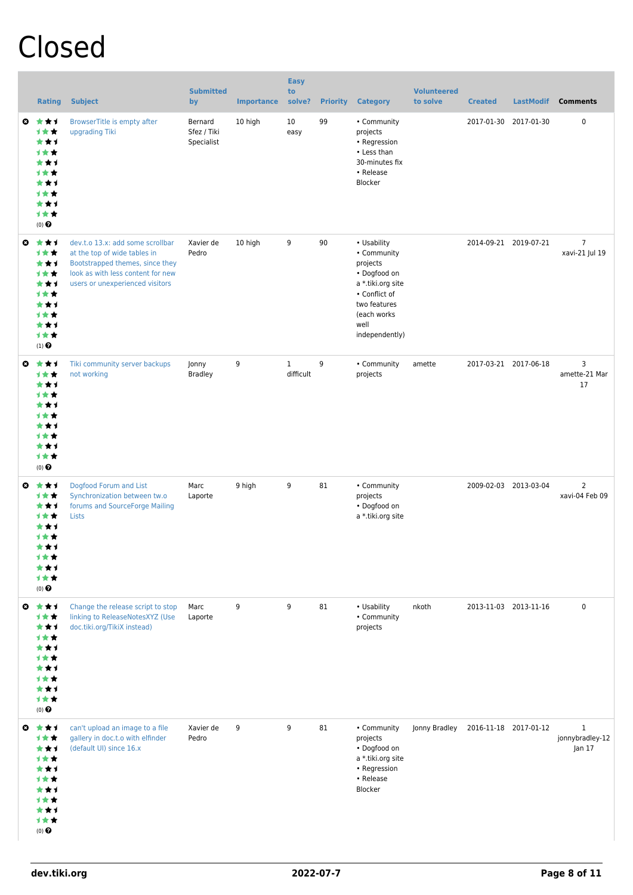## Closed

|                       | <b>Rating</b>                                                                              | <b>Subject</b>                                                                                                                                                              | <b>Submitted</b><br>by               | <b>Importance</b> | <b>Easy</b><br>to<br>solve? | <b>Priority</b> | <b>Category</b>                                                                                                                                       | <b>Volunteered</b><br>to solve | <b>Created</b>        | <b>LastModif</b>      | <b>Comments</b>                           |
|-----------------------|--------------------------------------------------------------------------------------------|-----------------------------------------------------------------------------------------------------------------------------------------------------------------------------|--------------------------------------|-------------------|-----------------------------|-----------------|-------------------------------------------------------------------------------------------------------------------------------------------------------|--------------------------------|-----------------------|-----------------------|-------------------------------------------|
| $\boldsymbol{\Omega}$ | ***<br>计女女<br>***<br>计女女<br>***<br>计女女<br>***<br>1**<br>***<br>计女女<br>$(0)$ $\odot$        | BrowserTitle is empty after<br>upgrading Tiki                                                                                                                               | Bernard<br>Sfez / Tiki<br>Specialist | 10 high           | 10<br>easy                  | 99              | • Community<br>projects<br>• Regression<br>• Less than<br>30-minutes fix<br>• Release<br>Blocker                                                      |                                | 2017-01-30            | 2017-01-30            | 0                                         |
| $\boldsymbol{\Omega}$ | ***<br>计女女<br>***<br>计女女<br>***<br><b>1★★</b><br>***<br>1★★<br>***<br>计女女<br>$(1)$ $\odot$ | dev.t.o 13.x: add some scrollbar<br>at the top of wide tables in<br>Bootstrapped themes, since they<br>look as with less content for new<br>users or unexperienced visitors | Xavier de<br>Pedro                   | 10 high           | 9                           | 90              | • Usability<br>• Community<br>projects<br>• Dogfood on<br>a *.tiki.org site<br>• Conflict of<br>two features<br>(each works<br>well<br>independently) |                                |                       | 2014-09-21 2019-07-21 | $\overline{7}$<br>xavi-21 Jul 19          |
| $\boldsymbol{\omega}$ | ***<br>计女女<br>***<br>计女女<br>***<br>计女女<br>***<br>计女女<br>***<br>计女女<br>$(0)$ $\pmb{\Theta}$ | Tiki community server backups<br>not working                                                                                                                                | Jonny<br><b>Bradley</b>              | 9                 | $\mathbf{1}$<br>difficult   | 9               | • Community<br>projects                                                                                                                               | amette                         |                       | 2017-03-21 2017-06-18 | 3<br>amette-21 Mar<br>17                  |
| $\boldsymbol{\Omega}$ | ***<br>计女女<br>***<br>计女女<br>***<br>1★★<br>***<br>1★★<br>*1<br>计女女<br>$(0)$ $\Theta$        | Dogfood Forum and List<br>Synchronization between tw.o<br>forums and SourceForge Mailing<br>Lists                                                                           | Marc<br>Laporte                      | 9 high            | 9                           | 81              | • Community<br>projects<br>• Dogfood on<br>a *.tiki.org site                                                                                          |                                |                       | 2009-02-03 2013-03-04 | $\overline{2}$<br>xavi-04 Feb 09          |
|                       | ◎ ★★1<br>***<br>***<br>计女女<br>***<br>计女女<br>***<br>计女女<br>***<br>计女女<br>$(0)$ $\Theta$     | Change the release script to stop<br>linking to ReleaseNotesXYZ (Use<br>doc.tiki.org/TikiX instead)                                                                         | Marc<br>Laporte                      | 9                 | 9                           | 81              | • Usability<br>• Community<br>projects                                                                                                                | nkoth                          |                       | 2013-11-03 2013-11-16 | $\pmb{0}$                                 |
|                       | ◎ ★★1<br>计女女<br>***<br>计女女<br>***<br>计女女<br>***<br>计女女<br>***<br>计女女<br>$(0)$ $\odot$      | can't upload an image to a file<br>gallery in doc.t.o with elfinder<br>(default UI) since 16.x                                                                              | Xavier de<br>Pedro                   | 9                 | 9                           | 81              | • Community<br>projects<br>• Dogfood on<br>a *.tiki.org site<br>• Regression<br>• Release<br>Blocker                                                  | Jonny Bradley                  | 2016-11-18 2017-01-12 |                       | $\mathbf{1}$<br>jonnybradley-12<br>Jan 17 |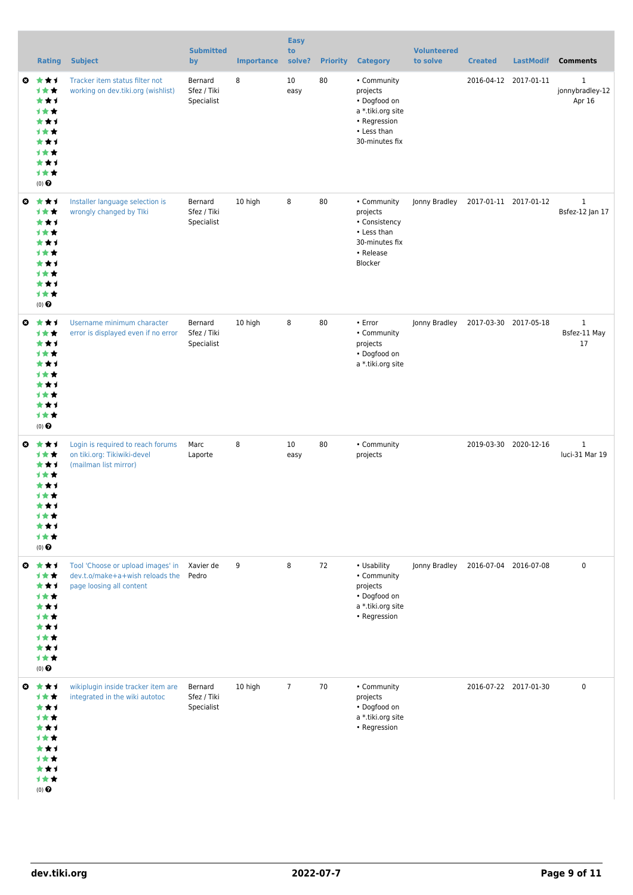|   | <b>Rating</b>                                                                           | <b>Subject</b>                                                                                   | <b>Submitted</b><br>by               | <b>Importance</b> | <b>Easy</b><br>to<br>solve? | <b>Priority</b> | <b>Category</b>                                                                                               | <b>Volunteered</b><br>to solve | <b>Created</b>        | <b>LastModif</b>      | <b>Comments</b>                           |
|---|-----------------------------------------------------------------------------------------|--------------------------------------------------------------------------------------------------|--------------------------------------|-------------------|-----------------------------|-----------------|---------------------------------------------------------------------------------------------------------------|--------------------------------|-----------------------|-----------------------|-------------------------------------------|
| O | 大大才<br>计女女<br>***<br>1★★<br>***<br>计女女<br>***<br><b>1**</b><br>***<br>1★★<br>(0)        | Tracker item status filter not<br>working on dev.tiki.org (wishlist)                             | Bernard<br>Sfez / Tiki<br>Specialist | 8                 | 10<br>easy                  | 80              | • Community<br>projects<br>• Dogfood on<br>a *.tiki.org site<br>• Regression<br>• Less than<br>30-minutes fix |                                |                       | 2016-04-12 2017-01-11 | $\mathbf{1}$<br>jonnybradley-12<br>Apr 16 |
| O | ***<br>计女女<br>***<br>计女女<br>***<br><b>1**</b><br>***<br><b>1**</b><br>***<br>1★★<br>(0) | Installer language selection is<br>wrongly changed by Tlki                                       | Bernard<br>Sfez / Tiki<br>Specialist | 10 high           | 8                           | 80              | • Community<br>projects<br>• Consistency<br>• Less than<br>30-minutes fix<br>• Release<br>Blocker             | Jonny Bradley                  | 2017-01-11 2017-01-12 |                       | $\mathbf{1}$<br>Bsfez-12 Jan 17           |
| O | ***<br>计女女<br>***<br>1★★<br>***<br>计女女<br>***<br>计女女<br>***<br>1★★<br>$(0)$ $\odot$     | Username minimum character<br>error is displayed even if no error                                | Bernard<br>Sfez / Tiki<br>Specialist | 10 high           | 8                           | 80              | • Error<br>• Community<br>projects<br>• Dogfood on<br>a *.tiki.org site                                       | Jonny Bradley                  | 2017-03-30 2017-05-18 |                       | $\mathbf{1}$<br>Bsfez-11 May<br>17        |
| O | ***<br>计女女<br>***<br>计女女<br>***<br>计女女<br>***<br>计女女<br>***<br>1★★<br>$(0)$ $\odot$     | Login is required to reach forums<br>on tiki.org: Tikiwiki-devel<br>(mailman list mirror)        | Marc<br>Laporte                      | 8                 | 10<br>easy                  | 80              | • Community<br>projects                                                                                       |                                | 2019-03-30 2020-12-16 |                       | $\mathbf{1}$<br>luci-31 Mar 19            |
| ◒ | ***<br>计女女<br>***<br>计女女<br>***<br>计女女<br>***<br>计女女<br>***<br>计女女<br>$(0)$ $\odot$     | Tool 'Choose or upload images' in<br>dev.t.o/make+a+wish reloads the<br>page loosing all content | Xavier de<br>Pedro                   | 9                 | 8                           | 72              | • Usability<br>• Community<br>projects<br>• Dogfood on<br>a *.tiki.org site<br>• Regression                   | Jonny Bradley                  | 2016-07-04 2016-07-08 |                       | $\pmb{0}$                                 |
|   | ◎ ★★1<br>计女女<br>***<br>计女女<br>***<br>计女女<br>***<br>计女女<br>***<br>计女女<br>$(0)$ $\odot$   | wikiplugin inside tracker item are<br>integrated in the wiki autotoc                             | Bernard<br>Sfez / Tiki<br>Specialist | 10 high           | $\overline{7}$              | 70              | • Community<br>projects<br>• Dogfood on<br>a *.tiki.org site<br>• Regression                                  |                                | 2016-07-22 2017-01-30 |                       | 0                                         |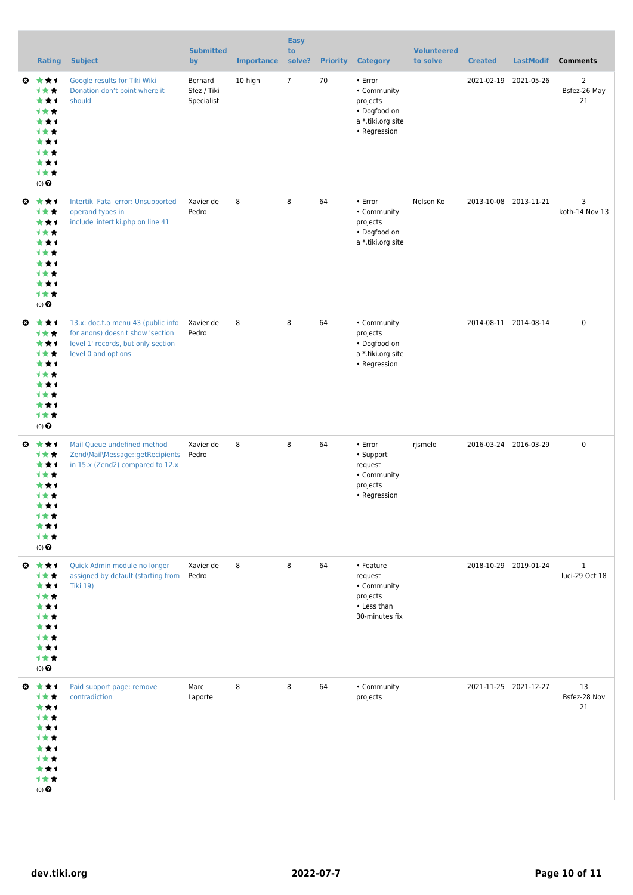|                       | <b>Rating</b>                                                                                            | <b>Subject</b>                                                                                                                      | <b>Submitted</b><br>by               | <b>Importance</b> | <b>Easy</b><br>to<br>solve? | <b>Priority</b> | <b>Category</b>                                                                         | <b>Volunteered</b><br>to solve | <b>Created</b> | <b>LastModif</b>      | <b>Comments</b>                      |
|-----------------------|----------------------------------------------------------------------------------------------------------|-------------------------------------------------------------------------------------------------------------------------------------|--------------------------------------|-------------------|-----------------------------|-----------------|-----------------------------------------------------------------------------------------|--------------------------------|----------------|-----------------------|--------------------------------------|
| $\bullet$             | ***<br>计女女<br>***<br>计女女<br>***<br>计女女<br>***<br>计女女<br>***<br>计女女<br>$(0)$ $\odot$                      | Google results for Tiki Wiki<br>Donation don't point where it<br>should                                                             | Bernard<br>Sfez / Tiki<br>Specialist | 10 high           | $7\overline{ }$             | 70              | • Error<br>• Community<br>projects<br>• Dogfood on<br>a *.tiki.org site<br>• Regression |                                | 2021-02-19     | 2021-05-26            | $\overline{2}$<br>Bsfez-26 May<br>21 |
| $\bullet$             | ***<br>计女女<br>***<br>计女女<br>***<br>计女女<br>***<br>计女女<br>***<br>计女女<br>(0)                                | Intertiki Fatal error: Unsupported<br>operand types in<br>include intertiki.php on line 41                                          | Xavier de<br>Pedro                   | 8                 | 8                           | 64              | • Error<br>• Community<br>projects<br>• Dogfood on<br>a *.tiki.org site                 | Nelson Ko                      |                | 2013-10-08 2013-11-21 | 3<br>koth-14 Nov 13                  |
| O                     | ***<br>计女女<br>***<br>计女女<br>***<br>计女女<br>***<br>计女女<br>***<br>1★★<br>$(0)$ $\odot$                      | 13.x: doc.t.o menu 43 (public info<br>for anons) doesn't show 'section<br>level 1' records, but only section<br>level 0 and options | Xavier de<br>Pedro                   | 8                 | 8                           | 64              | • Community<br>projects<br>• Dogfood on<br>a *.tiki.org site<br>• Regression            |                                |                | 2014-08-11 2014-08-14 | $\pmb{0}$                            |
| O                     | ***<br>计女女<br>***<br>计女女<br>***<br>计女女<br>***<br>1★★<br>★⊀<br>才女女<br>$(0)$ <sup><math>\odot</math></sup> | Mail Queue undefined method<br>Zend\Mail\Message::getRecipients<br>in 15.x (Zend2) compared to 12.x                                 | Xavier de<br>Pedro                   | 8                 | 8                           | 64              | • Error<br>• Support<br>request<br>• Community<br>projects<br>• Regression              | rjsmelo                        |                | 2016-03-24 2016-03-29 | $\pmb{0}$                            |
| $\bullet$             | ***<br>计女女<br>***<br>计女女<br>***<br><b>1**</b><br>***<br><b>1**</b><br>***<br>1★★<br>(0)                  | Quick Admin module no longer<br>assigned by default (starting from<br><b>Tiki 19)</b>                                               | Xavier de<br>Pedro                   | 8                 | 8                           | 64              | • Feature<br>request<br>• Community<br>projects<br>• Less than<br>30-minutes fix        |                                |                | 2018-10-29 2019-01-24 | $\mathbf{1}$<br>luci-29 Oct 18       |
| $\boldsymbol{\omega}$ | ***<br><b>1**</b><br>***<br>1★★<br>***<br>1 * *<br>***<br><b>1**</b><br>***<br>计女女<br>$(0)$ $\odot$      | Paid support page: remove<br>contradiction                                                                                          | Marc<br>Laporte                      | 8                 | 8                           | 64              | • Community<br>projects                                                                 |                                |                | 2021-11-25 2021-12-27 | 13<br>Bsfez-28 Nov<br>21             |